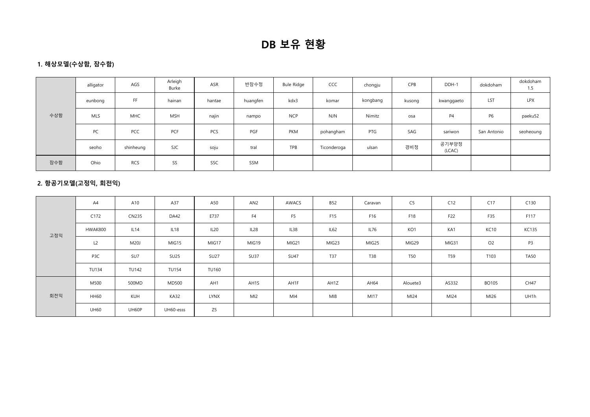# DB 보유 현황

## 1. 해상모델(수상함, 잠수함)

|     | alligator  | AGS        | Arleigh<br>Burke | ASR    | 반잠수정     | Bule Ridge | CCC         | chongju  | CPB    | DDH-1           | dokdoham       | dokdoham<br>1.5 |
|-----|------------|------------|------------------|--------|----------|------------|-------------|----------|--------|-----------------|----------------|-----------------|
|     | eunbong    | FF         | hainan           | hantae | huangfen | kdx3       | komar       | kongbang | kusong | kwanggaeto      | LST            | LPX             |
| 수상함 | <b>MLS</b> | MHC        | <b>MSH</b>       | najin  | nampo    | <b>NCP</b> | <b>NJN</b>  | Nimitz   | osa    | P4              | P <sub>6</sub> | paeku52         |
|     | PC         | PCC        | PCF              | PCS    | PGF      | PKM        | pohangham   | PTG      | SAG    | sariwon         | San Antonio    | seoheoung       |
|     | seoho      | shinheung  | <b>SJC</b>       | soju   | tral     | TPB        | Ticonderoga | ulsan    | 경비정    | 공기부양정<br>(LCAC) |                |                 |
| 잠수함 | Ohio       | <b>RCS</b> | SS               | SSC    | SSM      |            |             |          |        |                 |                |                 |

## 2. 항공기모델(고정익, 회전익)

|     | A4           | A10          | A37          | A50            | AN2            | AWACS           | <b>B52</b> | Caravan | C <sub>5</sub> | C12             | C17            | C130           |
|-----|--------------|--------------|--------------|----------------|----------------|-----------------|------------|---------|----------------|-----------------|----------------|----------------|
|     | C172         | <b>CN235</b> | DA42         | E737           | F <sub>4</sub> | F <sub>5</sub>  | F15        | F16     | F18            | F22             | F35            | F117           |
| 고정익 | HWAK800      | IL14         | IL18         | IL20           | IL28           | IL38            | IL62       | IL76    | KO1            | KA1             | <b>KC10</b>    | <b>KC135</b>   |
|     | L2           | <b>M20J</b>  | MIG15        | MIG17          | MIG19          | MIG21           | MIG23      | MIG25   | MIG29          | MIG31           | O <sub>2</sub> | P <sub>3</sub> |
|     | P3C          | SU7          | <b>SU25</b>  | <b>SU27</b>    | <b>SU37</b>    | <b>SU47</b>     | T37        | T38     | <b>T50</b>     | T <sub>59</sub> | T103           | <b>TA50</b>    |
|     | <b>TU134</b> | <b>TU142</b> | <b>TU154</b> | <b>TU160</b>   |                |                 |            |         |                |                 |                |                |
|     | M500         | 500MD        | <b>MD500</b> | AH1            | AH1S           | AH1F            | AH1Z       | AH64    | Alouete3       | AS332           | <b>BO105</b>   | <b>CH47</b>    |
| 회전익 | <b>HH60</b>  | KUH          | <b>KA32</b>  | LYNX           | MI2            | M <sub>14</sub> | MI8        | MI17    | MI24           | MI24            | MI26           | UH1h           |
|     | <b>UH60</b>  | UH60P        | UH60-esss    | Z <sub>5</sub> |                |                 |            |         |                |                 |                |                |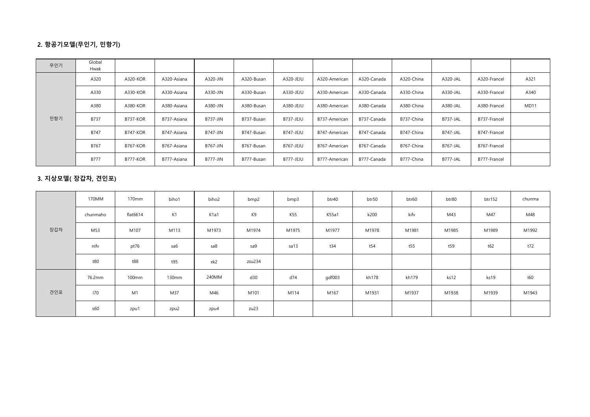## 2. 항공기모델(무인기, 민항기)

| 무인기 | Global<br>Hwak |                 |             |                 |            |                  |               |             |            |                 |              |             |
|-----|----------------|-----------------|-------------|-----------------|------------|------------------|---------------|-------------|------------|-----------------|--------------|-------------|
|     | A320           | A320-KOR        | A320-Asiana | A320-JIN        | A320-Busan | A320-JEJU        | A320-American | A320-Canada | A320-China | A320-JAL        | A320-Francel | A321        |
|     | A330           | A330-KOR        | A330-Asiana | A330-JIN        | A330-Busan | A330-JEJU        | A330-American | A330-Canada | A330-China | A330-JAL        | A330-Francel | A340        |
|     | A380           | A380-KOR        | A380-Asiana | A380-JIN        | A380-Busan | A380-JEJU        | A380-American | A380-Canada | A380-China | A380-JAL        | A380-Francel | <b>MD11</b> |
| 민항기 | <b>B737</b>    | <b>B737-KOR</b> | B737-Asiana | <b>B737-JIN</b> | B737-Busan | <b>B737-JEJU</b> | B737-American | B737-Canada | B737-China | B737-JAL        | B737-Francel |             |
|     | B747           | <b>B747-KOR</b> | B747-Asiana | <b>B747-JIN</b> | B747-Busan | <b>B747-JEJU</b> | B747-American | B747-Canada | B747-China | B747-JAL        | B747-Francel |             |
|     | B767           | <b>B767-KOR</b> | B767-Asiana | <b>B767-JIN</b> | B767-Busan | <b>B767-JEJU</b> | B767-American | B767-Canada | B767-China | <b>B767-JAL</b> | B767-Francel |             |
|     | <b>B777</b>    | <b>B777-KOR</b> | B777-Asiana | <b>B777-JIN</b> | B777-Busan | B777-JEJU        | B777-American | B777-Canada | B777-China | B777-JAL        | B777-Francel |             |

### 3. 지상모델( 장갑차, 견인포)

|     | 170MM    | 170mm    | biho1 | biho2 | bmp2   | bmp3  | btr40  | btr50 | btr60 | btr80 | btr152 | chunma |
|-----|----------|----------|-------|-------|--------|-------|--------|-------|-------|-------|--------|--------|
|     | chunmaho | flat6614 | K1    | K1a1  | K9     | K55   | K55a1  | k200  | kifv  | M43   | M47    | M48    |
| 장갑차 | M53      | M107     | M113  | M1973 | M1974  | M1975 | M1977  | M1978 | M1981 | M1985 | M1989  | M1992  |
|     | nifv     | pt76     | sa6   | sa8   | sa9    | sa13  | t34    | t54   | t55   | t59   | t62    | t72    |
|     | t80      | t88      | t95   | xk2   | zsu234 |       |        |       |       |       |        |        |
|     | 76.2mm   | 100mm    | 130mm | 240MM | d30    | d74   | gdf003 | kh178 | kh179 | ks12  | ks19   | 160    |
| 견인포 | 170      | M1       | M37   | M46   | M101   | M114  | M167   | M1931 | M1937 | M1938 | M1939  | M1943  |
|     | s60      | zpu1     | zpu2  | zpu4  | zu23   |       |        |       |       |       |        |        |